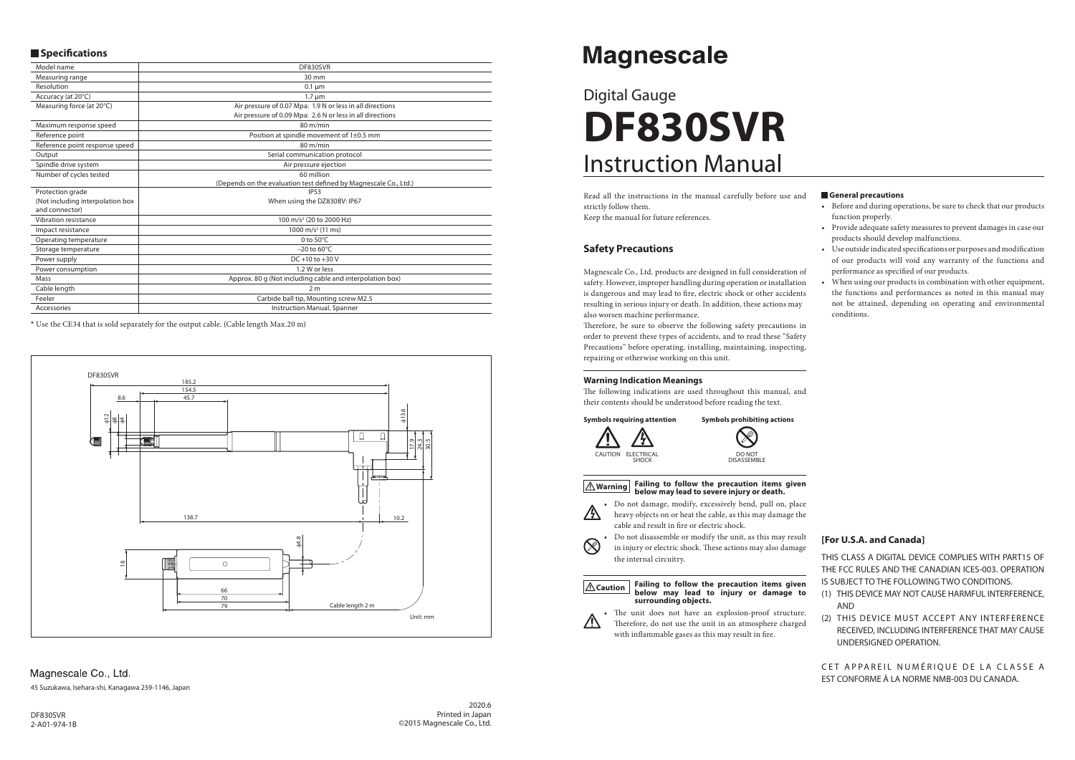# Instruction Manual Digital Gauge **DF830SVR**

#### **General precautions**

- Before and during operations, be sure to check that our products function properly.
- Provide adequate safety measures to prevent damages in case our products should develop malfunctions.
- Use outside indicated specifications or purposes and modification of our products will void any warranty of the functions and performance as specified of our products.
- When using our products in combination with other equipment, the functions and performances as noted in this manual may not be attained, depending on operating and environmental conditions.

Therefore, be sure to observe the following safety precautions in order to prevent these types of accidents, and to read these "Safety Precautions" before operating, installing, maintaining, inspecting, repairing or otherwise working on this unit.

Read all the instructions in the manual carefully before use and strictly follow them. Keep the manual for future references.

The following indications are used throughout this manual, and their contents should be understood before reading the text.

# **Safety Precautions**

• Do not damage, modify, excessively bend, pull on, place heavy objects on or heat the cable, as this may damage the cable and result in fire or electric shock.

Magnescale Co., Ltd. products are designed in full consideration of safety. However, improper handling during operation or installation is dangerous and may lead to fire, electric shock or other accidents resulting in serious injury or death. In addition, these actions may also worsen machine performance.

#### **Warning Indication Meanings**

CET APPAREIL NUMÉRIQUE DE LA CLASSE A EST CONFORME À LA NORME NMB-003 DU CANADA.

Magnescale Co., Ltd. 45 Suzukawa, Isehara-shi, Kanagawa 259-1146, Japan



#### **Warning Failing to follow the precaution items given below may lead to severe injury or death.**



 $\otimes$ 

• Do not disassemble or modify the unit, as this may result in injury or electric shock. These actions may also damage the internal circuitry.

#### **Caution Failing to follow the precaution items given below may lead to injury or damage to surrounding objects.**



• The unit does not have an explosion-proof structure. Therefore, do not use the unit in an atmosphere charged with inflammable gases as this may result in fire.

# **Magnescale**

DF830SVR 2-A01-974-1B

#### **[For U.S.A. and Canada]**

THIS CLASS A DIGITAL DEVICE COMPLIES WITH PART15 OF THE FCC RULES AND THE CANADIAN ICES-003. OPERATION IS SUBJECT TO THE FOLLOWING TWO CONDITIONS.

- (1) THIS DEVICE MAY NOT CAUSE HARMFUL INTERFERENCE, AND
- (2) THIS DEVICE MUST ACCEPT ANY INTERFERENCE RECEIVED, INCLUDING INTERFERENCE THAT MAY CAUSE UNDERSIGNED OPERATION.

### $\blacksquare$  Specifications

| Model name                                         | DF830SVR                                                                                                               |
|----------------------------------------------------|------------------------------------------------------------------------------------------------------------------------|
| Measuring range                                    | $30 \text{ mm}$                                                                                                        |
| Resolution                                         | $0.1 \mu m$                                                                                                            |
| Accuracy (at 20°C)                                 | $1.7 \mu m$                                                                                                            |
| Measuring force (at 20°C)                          | Air pressure of 0.07 Mpa: 1.9 N or less in all directions<br>Air pressure of 0.09 Mpa: 2.6 N or less in all directions |
| Maximum response speed                             | $80 \text{ m/min}$                                                                                                     |
| Reference point                                    | Position at spindle movement of 1±0.5 mm                                                                               |
| Reference point response speed                     | $80 \text{ m/min}$                                                                                                     |
| Output                                             | Serial communication protocol                                                                                          |
| Spindle drive system                               | Air pressure ejection                                                                                                  |
| Number of cycles tested                            | 60 million                                                                                                             |
|                                                    | (Depends on the evaluation test defined by Magnescale Co., Ltd.)                                                       |
| Protection grade                                   | <b>IP53</b>                                                                                                            |
| (Not including interpolation box<br>and connector) | When using the DZ830BV: IP67                                                                                           |
| Vibration resistance                               | 100 m/s <sup>2</sup> (20 to 2000 Hz)                                                                                   |
| Impact resistance                                  | 1000 m/s <sup>2</sup> (11 ms)                                                                                          |
| Operating temperature                              | 0 to $50^{\circ}$ C                                                                                                    |
| Storage temperature                                | $-20$ to 60 $\degree$ C                                                                                                |
| Power supply                                       | DC +10 to +30 V                                                                                                        |
| Power consumption                                  | 1.2 W or less                                                                                                          |
| Mass                                               | Approx. 80 g (Not including cable and interpolation box)                                                               |
| Cable length                                       | 2 <sub>m</sub>                                                                                                         |
| Feeler                                             | Carbide ball tip, Mounting screw M2.5                                                                                  |
| Accessories                                        | Instruction Manual, Spanner                                                                                            |

\* Use the CE34 that is sold separately for the output cable. (Cable length Max.20 m)